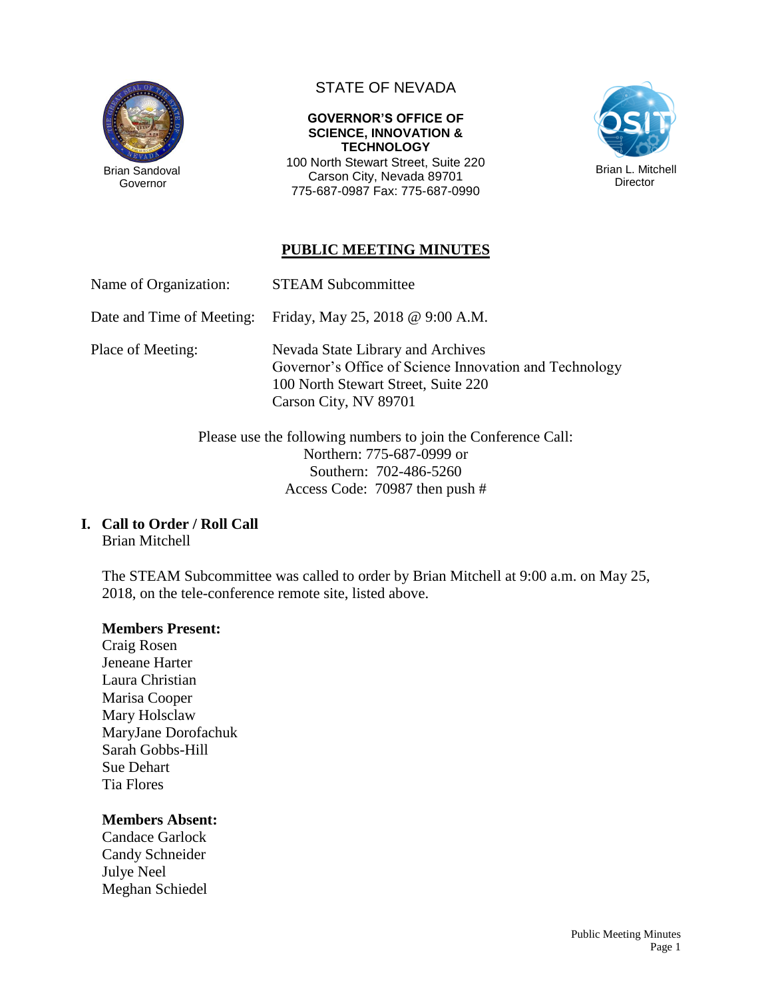

Governor

# STATE OF NEVADA

#### **GOVERNOR'S OFFICE OF SCIENCE, INNOVATION & TECHNOLOGY**

100 North Stewart Street, Suite 220 Carson City, Nevada 89701 775-687-0987 Fax: 775-687-0990



## **PUBLIC MEETING MINUTES**

Name of Organization: STEAM Subcommittee

Date and Time of Meeting: Friday, May 25, 2018 @ 9:00 A.M.

Place of Meeting: Nevada State Library and Archives Governor's Office of Science Innovation and Technology 100 North Stewart Street, Suite 220 Carson City, NV 89701

> Please use the following numbers to join the Conference Call: Northern: 775-687-0999 or Southern: 702-486-5260 Access Code: 70987 then push #

### **I. Call to Order / Roll Call**

Brian Mitchell

The STEAM Subcommittee was called to order by Brian Mitchell at 9:00 a.m. on May 25, 2018, on the tele-conference remote site, listed above.

#### **Members Present:**

Craig Rosen Jeneane Harter Laura Christian Marisa Cooper Mary Holsclaw MaryJane Dorofachuk Sarah Gobbs-Hill Sue Dehart Tia Flores

### **Members Absent:**

Candace Garlock Candy Schneider Julye Neel Meghan Schiedel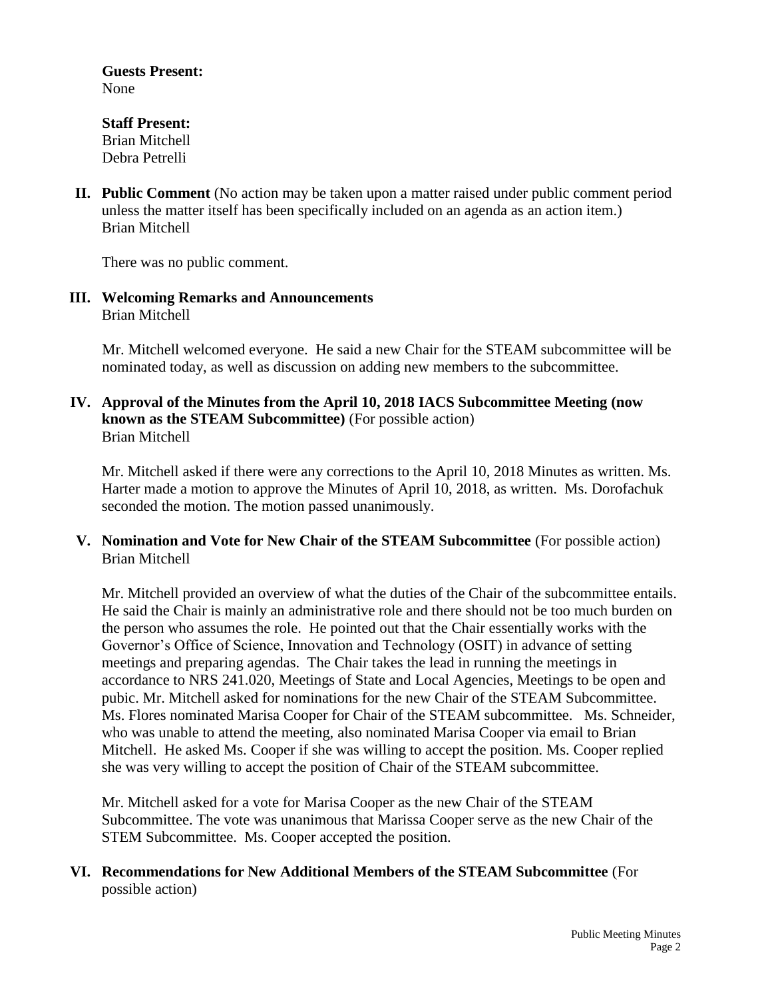**Guests Present:** None

**Staff Present:** Brian Mitchell Debra Petrelli

**II. Public Comment** (No action may be taken upon a matter raised under public comment period unless the matter itself has been specifically included on an agenda as an action item.) Brian Mitchell

There was no public comment.

**III. Welcoming Remarks and Announcements** Brian Mitchell

> Mr. Mitchell welcomed everyone. He said a new Chair for the STEAM subcommittee will be nominated today, as well as discussion on adding new members to the subcommittee.

## **IV. Approval of the Minutes from the April 10, 2018 IACS Subcommittee Meeting (now known as the STEAM Subcommittee)** (For possible action) Brian Mitchell

Mr. Mitchell asked if there were any corrections to the April 10, 2018 Minutes as written. Ms. Harter made a motion to approve the Minutes of April 10, 2018, as written. Ms. Dorofachuk seconded the motion. The motion passed unanimously.

**V. Nomination and Vote for New Chair of the STEAM Subcommittee** (For possible action) Brian Mitchell

Mr. Mitchell provided an overview of what the duties of the Chair of the subcommittee entails. He said the Chair is mainly an administrative role and there should not be too much burden on the person who assumes the role. He pointed out that the Chair essentially works with the Governor's Office of Science, Innovation and Technology (OSIT) in advance of setting meetings and preparing agendas. The Chair takes the lead in running the meetings in accordance to NRS 241.020, Meetings of State and Local Agencies, Meetings to be open and pubic. Mr. Mitchell asked for nominations for the new Chair of the STEAM Subcommittee. Ms. Flores nominated Marisa Cooper for Chair of the STEAM subcommittee. Ms. Schneider, who was unable to attend the meeting, also nominated Marisa Cooper via email to Brian Mitchell. He asked Ms. Cooper if she was willing to accept the position. Ms. Cooper replied she was very willing to accept the position of Chair of the STEAM subcommittee.

Mr. Mitchell asked for a vote for Marisa Cooper as the new Chair of the STEAM Subcommittee. The vote was unanimous that Marissa Cooper serve as the new Chair of the STEM Subcommittee. Ms. Cooper accepted the position.

### **VI. Recommendations for New Additional Members of the STEAM Subcommittee** (For possible action)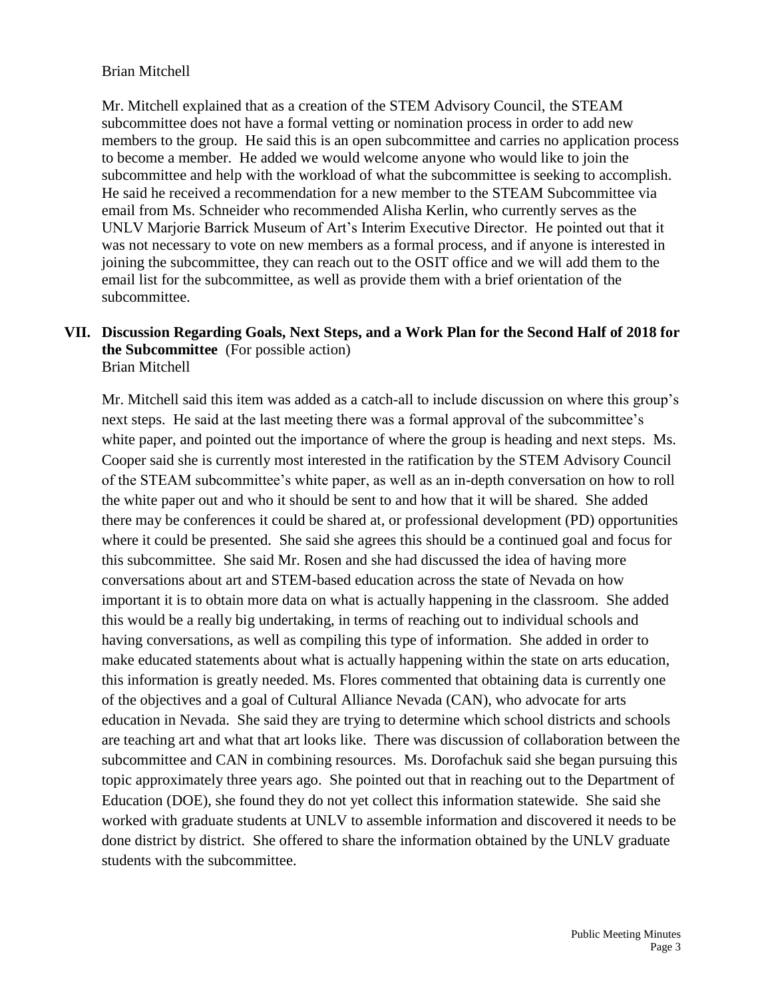### Brian Mitchell

Mr. Mitchell explained that as a creation of the STEM Advisory Council, the STEAM subcommittee does not have a formal vetting or nomination process in order to add new members to the group. He said this is an open subcommittee and carries no application process to become a member. He added we would welcome anyone who would like to join the subcommittee and help with the workload of what the subcommittee is seeking to accomplish. He said he received a recommendation for a new member to the STEAM Subcommittee via email from Ms. Schneider who recommended Alisha Kerlin, who currently serves as the UNLV Marjorie Barrick Museum of Art's Interim Executive Director. He pointed out that it was not necessary to vote on new members as a formal process, and if anyone is interested in joining the subcommittee, they can reach out to the OSIT office and we will add them to the email list for the subcommittee, as well as provide them with a brief orientation of the subcommittee.

#### **VII. Discussion Regarding Goals, Next Steps, and a Work Plan for the Second Half of 2018 for the Subcommittee** (For possible action) Brian Mitchell

Mr. Mitchell said this item was added as a catch-all to include discussion on where this group's next steps. He said at the last meeting there was a formal approval of the subcommittee's white paper, and pointed out the importance of where the group is heading and next steps. Ms. Cooper said she is currently most interested in the ratification by the STEM Advisory Council of the STEAM subcommittee's white paper, as well as an in-depth conversation on how to roll the white paper out and who it should be sent to and how that it will be shared. She added there may be conferences it could be shared at, or professional development (PD) opportunities where it could be presented. She said she agrees this should be a continued goal and focus for this subcommittee. She said Mr. Rosen and she had discussed the idea of having more conversations about art and STEM-based education across the state of Nevada on how important it is to obtain more data on what is actually happening in the classroom. She added this would be a really big undertaking, in terms of reaching out to individual schools and having conversations, as well as compiling this type of information. She added in order to make educated statements about what is actually happening within the state on arts education, this information is greatly needed. Ms. Flores commented that obtaining data is currently one of the objectives and a goal of Cultural Alliance Nevada (CAN), who advocate for arts education in Nevada. She said they are trying to determine which school districts and schools are teaching art and what that art looks like. There was discussion of collaboration between the subcommittee and CAN in combining resources. Ms. Dorofachuk said she began pursuing this topic approximately three years ago. She pointed out that in reaching out to the Department of Education (DOE), she found they do not yet collect this information statewide. She said she worked with graduate students at UNLV to assemble information and discovered it needs to be done district by district. She offered to share the information obtained by the UNLV graduate students with the subcommittee.